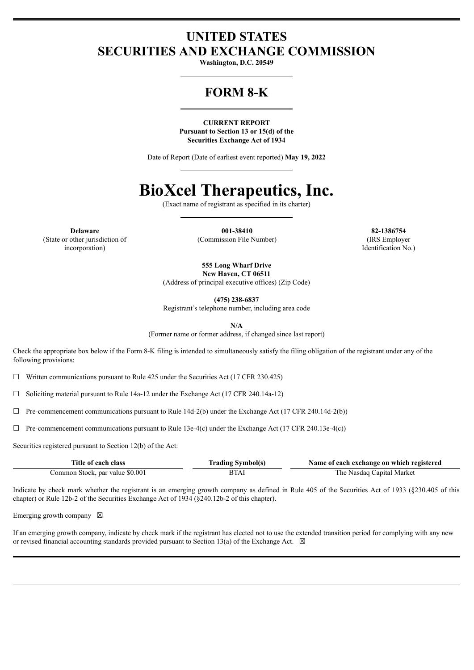### **UNITED STATES SECURITIES AND EXCHANGE COMMISSION**

**Washington, D.C. 20549**

## **FORM 8-K**

**CURRENT REPORT Pursuant to Section 13 or 15(d) of the Securities Exchange Act of 1934**

Date of Report (Date of earliest event reported) **May 19, 2022**

# **BioXcel Therapeutics, Inc.**

(Exact name of registrant as specified in its charter)

(State or other jurisdiction of incorporation)

**Delaware 001-38410 82-1386754** (Commission File Number) (IRS Employer

Identification No.)

**555 Long Wharf Drive New Haven, CT 06511**

(Address of principal executive offices) (Zip Code)

**(475) 238-6837**

Registrant's telephone number, including area code

**N/A**

(Former name or former address, if changed since last report)

Check the appropriate box below if the Form 8-K filing is intended to simultaneously satisfy the filing obligation of the registrant under any of the following provisions:

 $\Box$  Written communications pursuant to Rule 425 under the Securities Act (17 CFR 230.425)

 $\Box$  Soliciting material pursuant to Rule 14a-12 under the Exchange Act (17 CFR 240.14a-12)

 $\Box$  Pre-commencement communications pursuant to Rule 14d-2(b) under the Exchange Act (17 CFR 240.14d-2(b))

 $\Box$  Pre-commencement communications pursuant to Rule 13e-4(c) under the Exchange Act (17 CFR 240.13e-4(c))

Securities registered pursuant to Section 12(b) of the Act:

| Title of each class             | <b>Trading Symbol(s)</b> | Name of each exchange on which registered |
|---------------------------------|--------------------------|-------------------------------------------|
| Common Stock, par value \$0.001 | <b>BTAI</b>              | The Nasdag Capital Market                 |

Indicate by check mark whether the registrant is an emerging growth company as defined in Rule 405 of the Securities Act of 1933 (§230.405 of this chapter) or Rule 12b-2 of the Securities Exchange Act of 1934 (§240.12b-2 of this chapter).

Emerging growth company  $\boxtimes$ 

If an emerging growth company, indicate by check mark if the registrant has elected not to use the extended transition period for complying with any new or revised financial accounting standards provided pursuant to Section 13(a) of the Exchange Act.  $\boxtimes$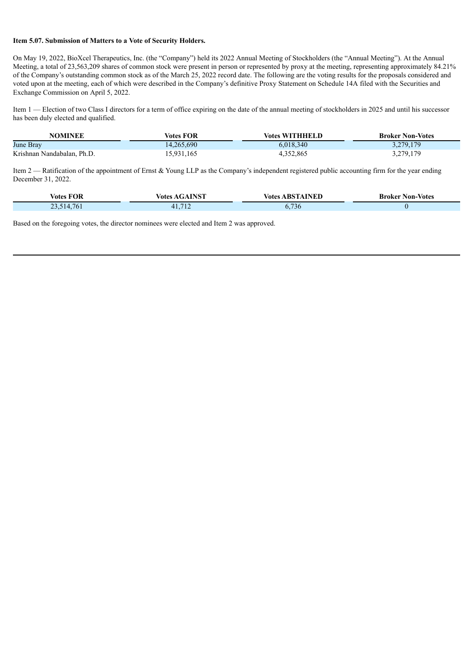#### **Item 5.07. Submission of Matters to a Vote of Security Holders.**

On May 19, 2022, BioXcel Therapeutics, Inc. (the "Company") held its 2022 Annual Meeting of Stockholders (the "Annual Meeting"). At the Annual Meeting, a total of 23,563,209 shares of common stock were present in person or represented by proxy at the meeting, representing approximately 84.21% of the Company's outstanding common stock as of the March 25, 2022 record date. The following are the voting results for the proposals considered and voted upon at the meeting, each of which were described in the Company's definitive Proxy Statement on Schedule 14A filed with the Securities and Exchange Commission on April 5, 2022.

Item 1 — Election of two Class I directors for a term of office expiring on the date of the annual meeting of stockholders in 2025 and until his successor has been duly elected and qualified.

| <b>NOMINEE</b>             | Votes FOR  | <b>Votes WITHHELD</b> | <b>Broker Non-Votes</b> |
|----------------------------|------------|-----------------------|-------------------------|
| June Bray                  | 14.265.690 | 6.018.340             | 3,279,179               |
| Krishnan Nandabalan, Ph.D. | 15,931,165 | 4,352,865             | 3,279,179               |

Item 2 — Ratification of the appointment of Ernst & Young LLP as the Company's independent registered public accounting firm for the year ending December 31, 2022.

| <b>Votes FOR</b> | <b>Votes AGAINST</b> | <b>Votes ABSTAINED</b>  | <b>Broker Non-Votes</b> |
|------------------|----------------------|-------------------------|-------------------------|
| 1.514.761        | 41,712               | $\overline{ }$<br>0,130 |                         |

Based on the foregoing votes, the director nominees were elected and Item 2 was approved.